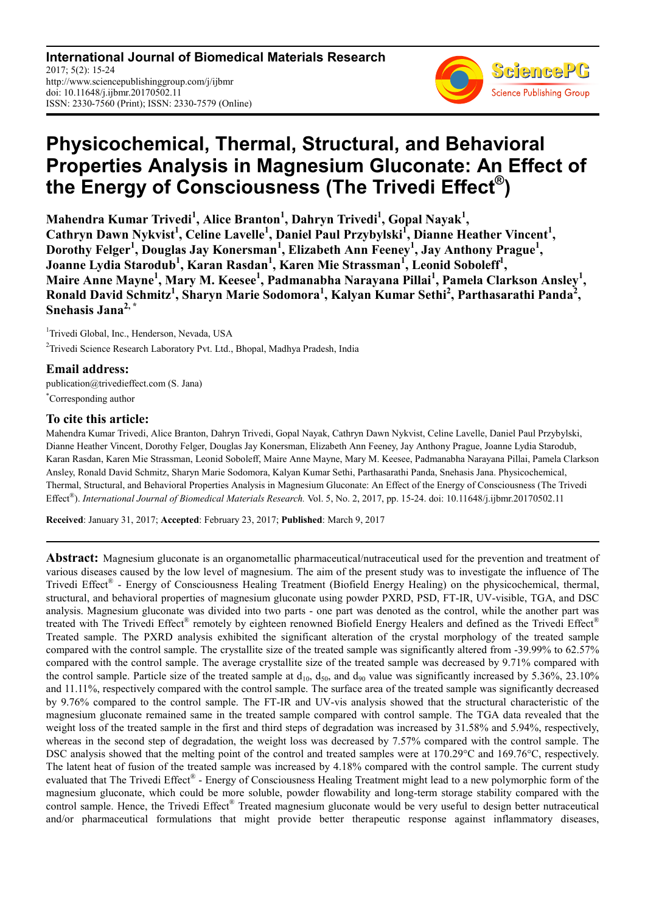**International Journal of Biomedical Materials Research** 2017; 5(2): 15-24 http://www.sciencepublishinggroup.com/j/ijbmr doi: 10.11648/j.ijbmr.20170502.11 ISSN: 2330-7560 (Print); ISSN: 2330-7579 (Online)



# **Physicochemical, Thermal, Structural, and Behavioral Properties Analysis in Magnesium Gluconate: An Effect of the Energy of Consciousness (The Trivedi Effect® )**

**Mahendra Kumar Trivedi<sup>1</sup> , Alice Branton<sup>1</sup> , Dahryn Trivedi<sup>1</sup> , Gopal Nayak<sup>1</sup> ,**  Cathryn Dawn Nykvist<sup>1</sup>, Celine Lavelle<sup>1</sup>, Daniel Paul Przybylski<sup>I</sup>, Dianne Heather Vincent<sup>1</sup>, **Dorothy Felger<sup>1</sup> , Douglas Jay Konersman<sup>1</sup> , Elizabeth Ann Feeney<sup>1</sup> , Jay Anthony Prague<sup>1</sup> , Joanne Lydia Starodub<sup>1</sup> , Karan Rasdan<sup>1</sup> , Karen Mie Strassman<sup>1</sup> , Leonid Soboleff<sup>1</sup> , Maire Anne Mayne<sup>1</sup> , Mary M. Keesee<sup>1</sup> , Padmanabha Narayana Pillai<sup>1</sup> , Pamela Clarkson Ansley<sup>1</sup> , Ronald David Schmitz<sup>1</sup> , Sharyn Marie Sodomora<sup>1</sup> , Kalyan Kumar Sethi<sup>2</sup> , Parthasarathi Panda<sup>2</sup> , Snehasis Jana2, \***

<sup>1</sup>Trivedi Global, Inc., Henderson, Nevada, USA <sup>2</sup>Trivedi Science Research Laboratory Pvt. Ltd., Bhopal, Madhya Pradesh, India

# **Email address:**

publication@trivedieffect.com (S. Jana) \*Corresponding author

### **To cite this article:**

Mahendra Kumar Trivedi, Alice Branton, Dahryn Trivedi, Gopal Nayak, Cathryn Dawn Nykvist, Celine Lavelle, Daniel Paul Przybylski, Dianne Heather Vincent, Dorothy Felger, Douglas Jay Konersman, Elizabeth Ann Feeney, Jay Anthony Prague, Joanne Lydia Starodub, Karan Rasdan, Karen Mie Strassman, Leonid Soboleff, Maire Anne Mayne, Mary M. Keesee, Padmanabha Narayana Pillai, Pamela Clarkson Ansley, Ronald David Schmitz, Sharyn Marie Sodomora, Kalyan Kumar Sethi, Parthasarathi Panda, Snehasis Jana. Physicochemical, Thermal, Structural, and Behavioral Properties Analysis in Magnesium Gluconate: An Effect of the Energy of Consciousness (The Trivedi Effect<sup>®</sup>). *International Journal of Biomedical Materials Research.* Vol. 5, No. 2, 2017, pp. 15-24. doi: 10.11648/j.ijbmr.20170502.11

**Received**: January 31, 2017; **Accepted**: February 23, 2017; **Published**: March 9, 2017

**Abstract:** Magnesium gluconate is an organometallic pharmaceutical/nutraceutical used for the prevention and treatment of various diseases caused by the low level of magnesium. The aim of the present study was to investigate the influence of The Trivedi Effect® - Energy of Consciousness Healing Treatment (Biofield Energy Healing) on the physicochemical, thermal, structural, and behavioral properties of magnesium gluconate using powder PXRD, PSD, FT-IR, UV-visible, TGA, and DSC analysis. Magnesium gluconate was divided into two parts - one part was denoted as the control, while the another part was treated with The Trivedi Effect® remotely by eighteen renowned Biofield Energy Healers and defined as the Trivedi Effect® Treated sample. The PXRD analysis exhibited the significant alteration of the crystal morphology of the treated sample compared with the control sample. The crystallite size of the treated sample was significantly altered from -39.99% to 62.57% compared with the control sample. The average crystallite size of the treated sample was decreased by 9.71% compared with the control sample. Particle size of the treated sample at  $d_{10}$ ,  $d_{50}$ , and  $d_{90}$  value was significantly increased by 5.36%, 23.10% and 11.11%, respectively compared with the control sample. The surface area of the treated sample was significantly decreased by 9.76% compared to the control sample. The FT-IR and UV-vis analysis showed that the structural characteristic of the magnesium gluconate remained same in the treated sample compared with control sample. The TGA data revealed that the weight loss of the treated sample in the first and third steps of degradation was increased by 31.58% and 5.94%, respectively, whereas in the second step of degradation, the weight loss was decreased by 7.57% compared with the control sample. The DSC analysis showed that the melting point of the control and treated samples were at 170.29°C and 169.76°C, respectively. The latent heat of fusion of the treated sample was increased by 4.18% compared with the control sample. The current study evaluated that The Trivedi Effect® - Energy of Consciousness Healing Treatment might lead to a new polymorphic form of the magnesium gluconate, which could be more soluble, powder flowability and long-term storage stability compared with the control sample. Hence, the Trivedi Effect® Treated magnesium gluconate would be very useful to design better nutraceutical and/or pharmaceutical formulations that might provide better therapeutic response against inflammatory diseases,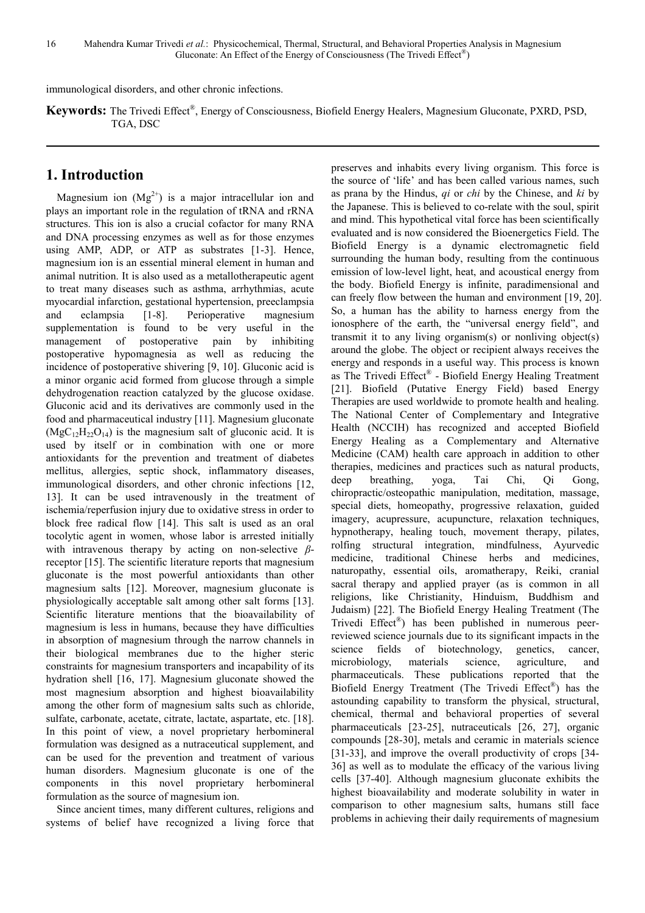immunological disorders, and other chronic infections.

**Keywords:** The Trivedi Effect® , Energy of Consciousness, Biofield Energy Healers, Magnesium Gluconate, PXRD, PSD, TGA, DSC

# **1. Introduction**

Magnesium ion  $(Mg^{2+})$  is a major intracellular ion and plays an important role in the regulation of tRNA and rRNA structures. This ion is also a crucial cofactor for many RNA and DNA processing enzymes as well as for those enzymes using AMP, ADP, or ATP as substrates [1-3]. Hence, magnesium ion is an essential mineral element in human and animal nutrition. It is also used as a metallotherapeutic agent to treat many diseases such as asthma, arrhythmias, acute myocardial infarction, gestational hypertension, preeclampsia and eclampsia [1-8]. Perioperative magnesium supplementation is found to be very useful in the management of postoperative pain by inhibiting postoperative hypomagnesia as well as reducing the incidence of postoperative shivering [9, 10]. Gluconic acid is a minor organic acid formed from glucose through a simple dehydrogenation reaction catalyzed by the glucose oxidase. Gluconic acid and its derivatives are commonly used in the food and pharmaceutical industry [11]. Magnesium gluconate  $(MgC_{12}H_{22}O_{14})$  is the magnesium salt of gluconic acid. It is used by itself or in combination with one or more antioxidants for the prevention and treatment of diabetes mellitus, allergies, septic shock, inflammatory diseases, immunological disorders, and other chronic infections [12, 13]. It can be used intravenously in the treatment of ischemia/reperfusion injury due to oxidative stress in order to block free radical flow [14]. This salt is used as an oral tocolytic agent in women, whose labor is arrested initially with intravenous therapy by acting on non-selective *β*receptor [15]. The scientific literature reports that magnesium gluconate is the most powerful antioxidants than other magnesium salts [12]. Moreover, magnesium gluconate is physiologically acceptable salt among other salt forms [13]. Scientific literature mentions that the bioavailability of magnesium is less in humans, because they have difficulties in absorption of magnesium through the narrow channels in their biological membranes due to the higher steric constraints for magnesium transporters and incapability of its hydration shell [16, 17]. Magnesium gluconate showed the most magnesium absorption and highest bioavailability among the other form of magnesium salts such as chloride, sulfate, carbonate, acetate, citrate, lactate, aspartate, etc. [18]. In this point of view, a novel proprietary herbomineral formulation was designed as a nutraceutical supplement, and can be used for the prevention and treatment of various human disorders. Magnesium gluconate is one of the components in this novel proprietary herbomineral formulation as the source of magnesium ion.

Since ancient times, many different cultures, religions and systems of belief have recognized a living force that preserves and inhabits every living organism. This force is the source of 'life' and has been called various names, such as prana by the Hindus, *qi* or *chi* by the Chinese, and *ki* by the Japanese. This is believed to co-relate with the soul, spirit and mind. This hypothetical vital force has been scientifically evaluated and is now considered the Bioenergetics Field. The Biofield Energy is a dynamic electromagnetic field surrounding the human body, resulting from the continuous emission of low-level light, heat, and acoustical energy from the body. Biofield Energy is infinite, paradimensional and can freely flow between the human and environment [19, 20]. So, a human has the ability to harness energy from the ionosphere of the earth, the "universal energy field", and transmit it to any living organism(s) or nonliving object(s) around the globe. The object or recipient always receives the energy and responds in a useful way. This process is known as The Trivedi Effect® - Biofield Energy Healing Treatment [21]. Biofield (Putative Energy Field) based Energy Therapies are used worldwide to promote health and healing. The National Center of Complementary and Integrative Health (NCCIH) has recognized and accepted Biofield Energy Healing as a Complementary and Alternative Medicine (CAM) health care approach in addition to other therapies, medicines and practices such as natural products, deep breathing, yoga, Tai Chi, Qi Gong, chiropractic/osteopathic manipulation, meditation, massage, special diets, homeopathy, progressive relaxation, guided imagery, acupressure, acupuncture, relaxation techniques, hypnotherapy, healing touch, movement therapy, pilates, rolfing structural integration, mindfulness, Ayurvedic medicine, traditional Chinese herbs and medicines, naturopathy, essential oils, aromatherapy, Reiki, cranial sacral therapy and applied prayer (as is common in all religions, like Christianity, Hinduism, Buddhism and Judaism) [22]. The Biofield Energy Healing Treatment (The Trivedi Effect® ) has been published in numerous peerreviewed science journals due to its significant impacts in the science fields of biotechnology, genetics, cancer, microbiology, materials science, agriculture, and pharmaceuticals. These publications reported that the Biofield Energy Treatment (The Trivedi Effect® ) has the astounding capability to transform the physical, structural, chemical, thermal and behavioral properties of several pharmaceuticals [23-25], nutraceuticals [26, 27], organic compounds [28-30], metals and ceramic in materials science [31-33], and improve the overall productivity of crops [34- 36] as well as to modulate the efficacy of the various living cells [37-40]. Although magnesium gluconate exhibits the highest bioavailability and moderate solubility in water in comparison to other magnesium salts, humans still face problems in achieving their daily requirements of magnesium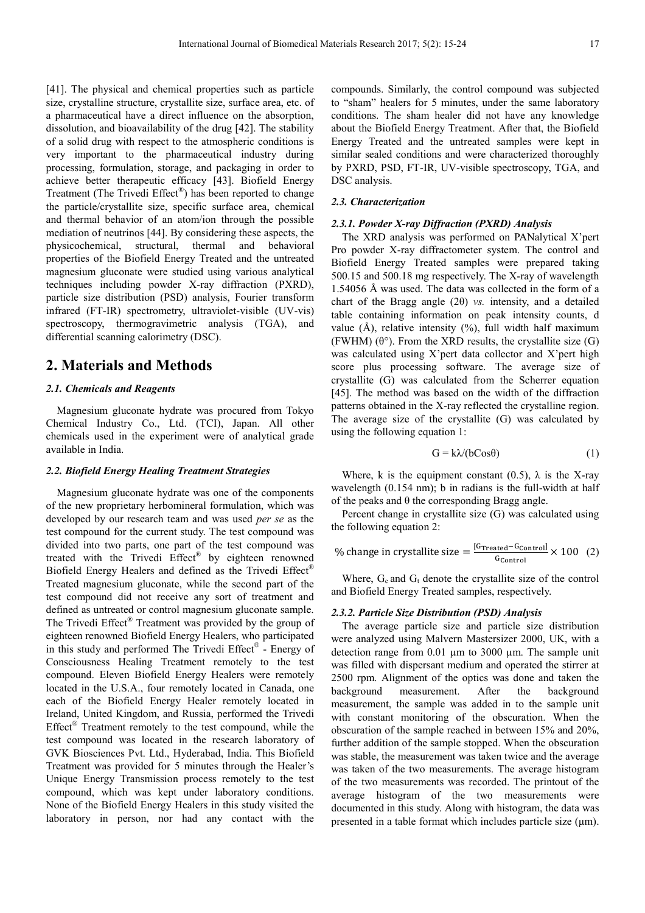[41]. The physical and chemical properties such as particle size, crystalline structure, crystallite size, surface area, etc. of a pharmaceutical have a direct influence on the absorption, dissolution, and bioavailability of the drug [42]. The stability of a solid drug with respect to the atmospheric conditions is very important to the pharmaceutical industry during processing, formulation, storage, and packaging in order to achieve better therapeutic efficacy [43]. Biofield Energy Treatment (The Trivedi Effect®) has been reported to change the particle/crystallite size, specific surface area, chemical and thermal behavior of an atom/ion through the possible mediation of neutrinos [44]. By considering these aspects, the physicochemical, structural, thermal and behavioral properties of the Biofield Energy Treated and the untreated magnesium gluconate were studied using various analytical techniques including powder X-ray diffraction (PXRD), particle size distribution (PSD) analysis, Fourier transform infrared (FT-IR) spectrometry, ultraviolet-visible (UV-vis) spectroscopy, thermogravimetric analysis (TGA), and differential scanning calorimetry (DSC).

# **2. Materials and Methods**

### *2.1. Chemicals and Reagents*

Magnesium gluconate hydrate was procured from Tokyo Chemical Industry Co., Ltd. (TCI), Japan. All other chemicals used in the experiment were of analytical grade available in India.

#### *2.2. Biofield Energy Healing Treatment Strategies*

Magnesium gluconate hydrate was one of the components of the new proprietary herbomineral formulation, which was developed by our research team and was used *per se* as the test compound for the current study. The test compound was divided into two parts, one part of the test compound was treated with the Trivedi Effect® by eighteen renowned Biofield Energy Healers and defined as the Trivedi Effect<sup>®</sup> Treated magnesium gluconate, while the second part of the test compound did not receive any sort of treatment and defined as untreated or control magnesium gluconate sample. The Trivedi Effect® Treatment was provided by the group of eighteen renowned Biofield Energy Healers, who participated in this study and performed The Trivedi Effect® - Energy of Consciousness Healing Treatment remotely to the test compound. Eleven Biofield Energy Healers were remotely located in the U.S.A., four remotely located in Canada, one each of the Biofield Energy Healer remotely located in Ireland, United Kingdom, and Russia, performed the Trivedi Effect<sup>®</sup> Treatment remotely to the test compound, while the test compound was located in the research laboratory of GVK Biosciences Pvt. Ltd., Hyderabad, India. This Biofield Treatment was provided for 5 minutes through the Healer's Unique Energy Transmission process remotely to the test compound, which was kept under laboratory conditions. None of the Biofield Energy Healers in this study visited the laboratory in person, nor had any contact with the

compounds. Similarly, the control compound was subjected to "sham" healers for 5 minutes, under the same laboratory conditions. The sham healer did not have any knowledge about the Biofield Energy Treatment. After that, the Biofield Energy Treated and the untreated samples were kept in similar sealed conditions and were characterized thoroughly by PXRD, PSD, FT-IR, UV-visible spectroscopy, TGA, and DSC analysis.

### *2.3. Characterization*

#### *2.3.1. Powder X-ray Diffraction (PXRD) Analysis*

The XRD analysis was performed on PANalytical X'pert Pro powder X-ray diffractometer system. The control and Biofield Energy Treated samples were prepared taking 500.15 and 500.18 mg respectively. The X-ray of wavelength 1.54056 Å was used. The data was collected in the form of a chart of the Bragg angle (2θ) *vs.* intensity, and a detailed table containing information on peak intensity counts, d value  $(\hat{A})$ , relative intensity  $(\% )$ , full width half maximum (FWHM)  $(\theta^{\circ})$ . From the XRD results, the crystallite size (G) was calculated using X'pert data collector and X'pert high score plus processing software. The average size of crystallite (G) was calculated from the Scherrer equation [45]. The method was based on the width of the diffraction patterns obtained in the X-ray reflected the crystalline region. The average size of the crystallite (G) was calculated by using the following equation 1:

$$
G = k\lambda(bCos\theta)
$$
 (1)

Where, k is the equipment constant (0.5),  $\lambda$  is the X-ray wavelength (0.154 nm); b in radians is the full-width at half of the peaks and  $\theta$  the corresponding Bragg angle.

Percent change in crystallite size (G) was calculated using the following equation 2:

% change in crystallite size = 
$$
\frac{[G_{\text{Treated}} - G_{\text{Control}}]}{G_{\text{Control}}} \times 100
$$
 (2)

Where,  $G_c$  and  $G_t$  denote the crystallite size of the control and Biofield Energy Treated samples, respectively.

#### *2.3.2. Particle Size Distribution (PSD) Analysis*

The average particle size and particle size distribution were analyzed using Malvern Mastersizer 2000, UK, with a detection range from 0.01 µm to 3000 µm. The sample unit was filled with dispersant medium and operated the stirrer at 2500 rpm. Alignment of the optics was done and taken the background measurement. After the background measurement, the sample was added in to the sample unit with constant monitoring of the obscuration. When the obscuration of the sample reached in between 15% and 20%, further addition of the sample stopped. When the obscuration was stable, the measurement was taken twice and the average was taken of the two measurements. The average histogram of the two measurements was recorded. The printout of the average histogram of the two measurements were documented in this study. Along with histogram, the data was presented in a table format which includes particle size  $(\mu m)$ .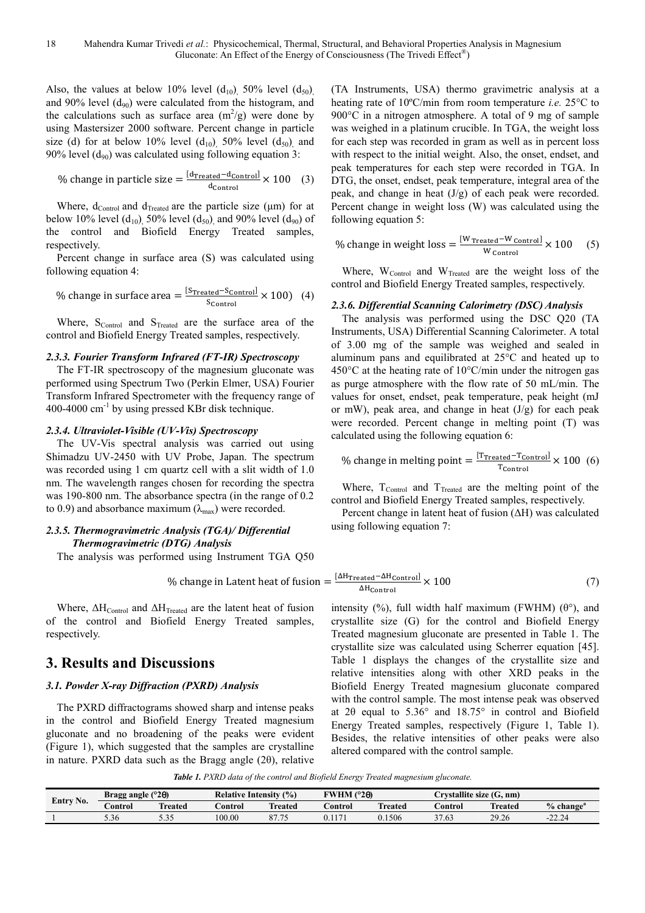Also, the values at below 10% level  $(d_{10})$ , 50% level  $(d_{50})$ , and 90% level  $(d_{90})$  were calculated from the histogram, and the calculations such as surface area  $(m^2/g)$  were done by using Mastersizer 2000 software. Percent change in particle size (d) for at below 10% level  $(d_{10})$ , 50% level  $(d_{50})$ , and 90% level  $(d_{90})$  was calculated using following equation 3:

% change in particle size = 
$$
\frac{\text{[dTreated – dControl]}{\text{d}_{\text{Control}}}} \times 100
$$
 (3)

Where,  $d_{\text{Control}}$  and  $d_{\text{Treated}}$  are the particle size ( $\mu$ m) for at below 10% level (d<sub>10</sub>)<sub>,</sub> 50% level (d<sub>50</sub>), and 90% level (d<sub>90</sub>) of the control and Biofield Energy Treated samples, respectively.

Percent change in surface area (S) was calculated using following equation 4:

% change in surface area = 
$$
\frac{\text{[STreated-SControl]}}{\text{Scontrol}} \times 100 \tag{4}
$$

Where,  $S_{Control}$  and  $S_{Treated}$  are the surface area of the control and Biofield Energy Treated samples, respectively.

#### *2.3.3. Fourier Transform Infrared (FT-IR) Spectroscopy*

The FT-IR spectroscopy of the magnesium gluconate was performed using Spectrum Two (Perkin Elmer, USA) Fourier Transform Infrared Spectrometer with the frequency range of 400-4000 cm-1 by using pressed KBr disk technique.

#### *2.3.4. Ultraviolet-Visible (UV-Vis) Spectroscopy*

The UV-Vis spectral analysis was carried out using Shimadzu UV-2450 with UV Probe, Japan. The spectrum was recorded using 1 cm quartz cell with a slit width of 1.0 nm. The wavelength ranges chosen for recording the spectra was 190-800 nm. The absorbance spectra (in the range of 0.2 to 0.9) and absorbance maximum  $(\lambda_{\text{max}})$  were recorded.

### *2.3.5. Thermogravimetric Analysis (TGA)/ Differential Thermogravimetric (DTG) Analysis*

The analysis was performed using Instrument TGA Q50

% change in Latent heat of fusion = 
$$
\frac{[AH_{Treated} - A H_{Control}]}{A H_{central}} \times 100
$$
 (7)

Where,  $\Delta H_{\text{Control}}$  and  $\Delta H_{\text{Treated}}$  are the latent heat of fusion of the control and Biofield Energy Treated samples, respectively.

## **3. Results and Discussions**

#### *3.1. Powder X-ray Diffraction (PXRD) Analysis*

The PXRD diffractograms showed sharp and intense peaks in the control and Biofield Energy Treated magnesium gluconate and no broadening of the peaks were evident (Figure 1), which suggested that the samples are crystalline in nature. PXRD data such as the Bragg angle (2θ), relative (TA Instruments, USA) thermo gravimetric analysis at a heating rate of 10ºC/min from room temperature *i.e.* 25°C to 900°C in a nitrogen atmosphere. A total of 9 mg of sample was weighed in a platinum crucible. In TGA, the weight loss for each step was recorded in gram as well as in percent loss with respect to the initial weight. Also, the onset, endset, and peak temperatures for each step were recorded in TGA. In DTG, the onset, endset, peak temperature, integral area of the peak, and change in heat (J/g) of each peak were recorded. Percent change in weight loss (W) was calculated using the following equation 5:

% change in weight loss = 
$$
\frac{[W_{\text{Treated}} - W_{\text{Control}}]}{W_{\text{Control}}} \times 100
$$
 (5)

Where,  $W_{Control}$  and  $W_{Treated}$  are the weight loss of the control and Biofield Energy Treated samples, respectively.

#### *2.3.6. Differential Scanning Calorimetry (DSC) Analysis*

The analysis was performed using the DSC Q20 (TA Instruments, USA) Differential Scanning Calorimeter. A total of 3.00 mg of the sample was weighed and sealed in aluminum pans and equilibrated at 25°C and heated up to 450°C at the heating rate of 10°C/min under the nitrogen gas as purge atmosphere with the flow rate of 50 mL/min. The values for onset, endset, peak temperature, peak height (mJ or mW), peak area, and change in heat  $(J/g)$  for each peak were recorded. Percent change in melting point (T) was calculated using the following equation 6:

% change in melting point = 
$$
\frac{[{\rm Tr}_\text{reated} - {\rm T}_{\rm Control}]}{\rm T}_{\rm Control} \times 100 \tag{6}
$$

Where,  $T_{Control}$  and  $T_{Treated}$  are the melting point of the control and Biofield Energy Treated samples, respectively.

Percent change in latent heat of fusion (∆H) was calculated using following equation 7:

\n AHcontrol  
\n intensity (%, full width half maximum (FWHM) (θ°), and  
\n crystallite size (G) for the control and Biofield Energy  
\n Treated magnesium gluonate are presented in Table 1. The  
\n crystallite size was calculated using Scherrer equation [45].  
\n Table 1 displays the changes of the crystallite size and  
\n relative intensities along with other XRD peaks in the  
\n Biofield Energy Treated magnesium gluonate compared  
\n with the control sample. The most intense peak was observed  
\n at 2θ equal to 
$$
5.36^{\circ}
$$
 and  $18.75^{\circ}$  in control and Biofield  
\n Energy Treated samples, respectively (Figure 1, Table 1).\n

Besides, the relative intensities of other peaks were also

altered compared with the control sample.

*Table 1. PXRD data of the control and Biofield Energy Treated magnesium gluconate.* 

| Entry No. | $(^{\circ}2\theta)$<br>Bragg angle |                                     |         | <b>Relative Intensity (%)</b> |         | $(^{\circ}2\theta)$<br>FWHM |          | Crvstallite size (G. nm) |                    |
|-----------|------------------------------------|-------------------------------------|---------|-------------------------------|---------|-----------------------------|----------|--------------------------|--------------------|
|           | <i>≥</i> ontrol                    | <b>CONTRACTOR</b><br><b>Treated</b> | Control | Treated                       | `ontrol | <b>CONTINUES</b><br>Treated | .`ontrol | <b>Treated</b>           | % change           |
|           | $\sim$ 0.4<br>5.36                 | 525<br>J.JJ                         | 00.00   | 75<br>07<br>01.13             | 1171    | 0.1506                      | 37.63    | 29.26                    | .22.24<br>$-LL.L.$ |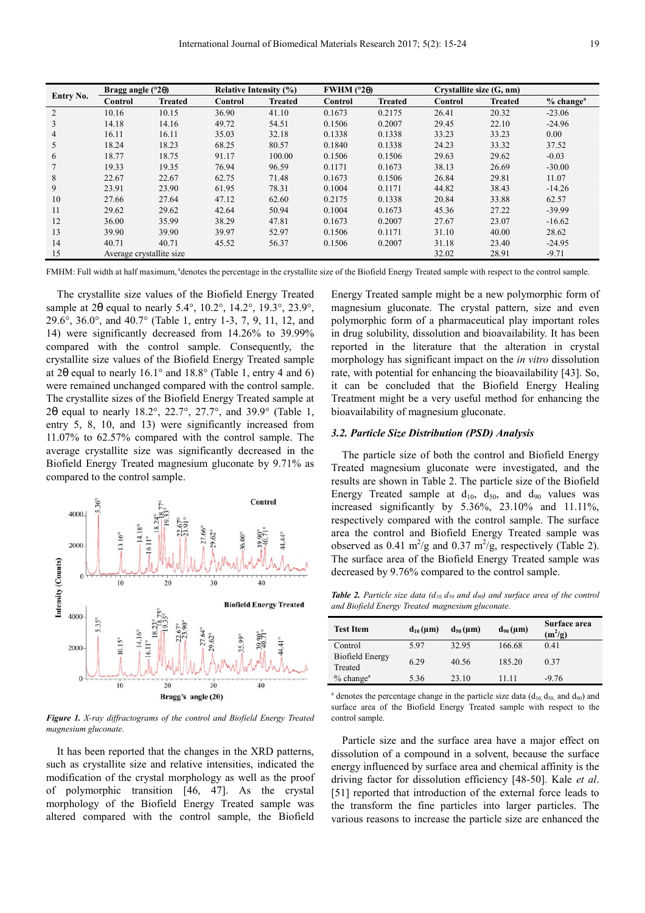| Entry No. | Bragg angle $(^{\circ}2\theta)$ |                | <b>Relative Intensity (%)</b> |                | FWHM $(^{\circ}2\theta)$ |                |         | Crystallite size (G, nm) |                         |
|-----------|---------------------------------|----------------|-------------------------------|----------------|--------------------------|----------------|---------|--------------------------|-------------------------|
|           | Control                         | <b>Treated</b> | Control                       | <b>Treated</b> | Control                  | <b>Treated</b> | Control | <b>Treated</b>           | $%$ change <sup>a</sup> |
|           | 10.16                           | 10.15          | 36.90                         | 41.10          | 0.1673                   | 0.2175         | 26.41   | 20.32                    | $-23.06$                |
| 3         | 14.18                           | 14.16          | 49.72                         | 54.51          | 0.1506                   | 0.2007         | 29.45   | 22.10                    | $-24.96$                |
| 4         | 16.11                           | 16.11          | 35.03                         | 32.18          | 0.1338                   | 0.1338         | 33.23   | 33.23                    | 0.00                    |
| 5         | 18.24                           | 18.23          | 68.25                         | 80.57          | 0.1840                   | 0.1338         | 24.23   | 33.32                    | 37.52                   |
| 6         | 18.77                           | 18.75          | 91.17                         | 100.00         | 0.1506                   | 0.1506         | 29.63   | 29.62                    | $-0.03$                 |
|           | 19.33                           | 19.35          | 76.94                         | 96.59          | 0.1171                   | 0.1673         | 38.13   | 26.69                    | $-30.00$                |
| 8         | 22.67                           | 22.67          | 62.75                         | 71.48          | 0.1673                   | 0.1506         | 26.84   | 29.81                    | 11.07                   |
| 9         | 23.91                           | 23.90          | 61.95                         | 78.31          | 0.1004                   | 0.1171         | 44.82   | 38.43                    | $-14.26$                |
| 10        | 27.66                           | 27.64          | 47.12                         | 62.60          | 0.2175                   | 0.1338         | 20.84   | 33.88                    | 62.57                   |
| 11        | 29.62                           | 29.62          | 42.64                         | 50.94          | 0.1004                   | 0.1673         | 45.36   | 27.22                    | $-39.99$                |
| 12        | 36.00                           | 35.99          | 38.29                         | 47.81          | 0.1673                   | 0.2007         | 27.67   | 23.07                    | $-16.62$                |
| 13        | 39.90                           | 39.90          | 39.97                         | 52.97          | 0.1506                   | 0.1171         | 31.10   | 40.00                    | 28.62                   |
| 14        | 40.71                           | 40.71          | 45.52                         | 56.37          | 0.1506                   | 0.2007         | 31.18   | 23.40                    | $-24.95$                |
| 15        | Average crystallite size        |                |                               |                |                          |                | 32.02   | 28.91                    | $-9.71$                 |

FMHM: Full width at half maximum, <sup>a</sup>denotes the percentage in the crystallite size of the Biofield Energy Treated sample with respect to the control sample.

The crystallite size values of the Biofield Energy Treated sample at 2θ equal to nearly 5.4°, 10.2°, 14.2°, 19.3°, 23.9°, 29.6°, 36.0°, and 40.7° (Table 1, entry 1-3, 7, 9, 11, 12, and 14) were significantly decreased from 14.26% to 39.99% compared with the control sample. Consequently, the crystallite size values of the Biofield Energy Treated sample at 2θ equal to nearly 16.1° and 18.8° (Table 1, entry 4 and 6) were remained unchanged compared with the control sample. The crystallite sizes of the Biofield Energy Treated sample at 2θ equal to nearly 18.2°, 22.7°, 27.7°, and 39.9° (Table 1, entry 5, 8, 10, and 13) were significantly increased from 11.07% to 62.57% compared with the control sample. The average crystallite size was significantly decreased in the Biofield Energy Treated magnesium gluconate by 9.71% as compared to the control sample.



*Figure 1. X-ray diffractograms of the control and Biofield Energy Treated magnesium gluconate.* 

It has been reported that the changes in the XRD patterns, such as crystallite size and relative intensities, indicated the modification of the crystal morphology as well as the proof of polymorphic transition [46, 47]. As the crystal morphology of the Biofield Energy Treated sample was altered compared with the control sample, the Biofield

Energy Treated sample might be a new polymorphic form of magnesium gluconate. The crystal pattern, size and even polymorphic form of a pharmaceutical play important roles in drug solubility, dissolution and bioavailability. It has been reported in the literature that the alteration in crystal morphology has significant impact on the *in vitro* dissolution rate, with potential for enhancing the bioavailability [43]. So, it can be concluded that the Biofield Energy Healing Treatment might be a very useful method for enhancing the bioavailability of magnesium gluconate.

#### *3.2. Particle Size Distribution (PSD) Analysis*

The particle size of both the control and Biofield Energy Treated magnesium gluconate were investigated, and the results are shown in Table 2. The particle size of the Biofield Energy Treated sample at  $d_{10}$ ,  $d_{50}$ , and  $d_{90}$  values was increased significantly by 5.36%, 23.10% and 11.11%, respectively compared with the control sample. The surface area the control and Biofield Energy Treated sample was observed as 0.41 m<sup>2</sup>/g and 0.37 m<sup>2</sup>/g, respectively (Table 2). The surface area of the Biofield Energy Treated sample was decreased by 9.76% compared to the control sample.

*Table 2. Particle size data (d10, d50 and d90) and surface area of the control and Biofield Energy Treated magnesium gluconate.* 

| <b>Test Item</b>           | $d_{10} (\mu m)$ | $d_{50} (\mu m)$ | $d_{90}(\mu m)$ | Surface area<br>$(m^2/g)$ |
|----------------------------|------------------|------------------|-----------------|---------------------------|
| Control                    | 5.97             | 32.95            | 166.68          | 0.41                      |
| Biofield Energy<br>Treated | 6.29             | 40.56            | 185.20          | 0.37                      |
| $%$ change <sup>a</sup>    | 5.36             | 23.10            | 11.11           | $-9.76$                   |

<sup>a</sup> denotes the percentage change in the particle size data  $(d_{10}, d_{50})$  and  $d_{90}$ ) and surface area of the Biofield Energy Treated sample with respect to the control sample.

Particle size and the surface area have a major effect on dissolution of a compound in a solvent, because the surface energy influenced by surface area and chemical affinity is the driving factor for dissolution efficiency [48-50]. Kale *et al*. [51] reported that introduction of the external force leads to the transform the fine particles into larger particles. The various reasons to increase the particle size are enhanced the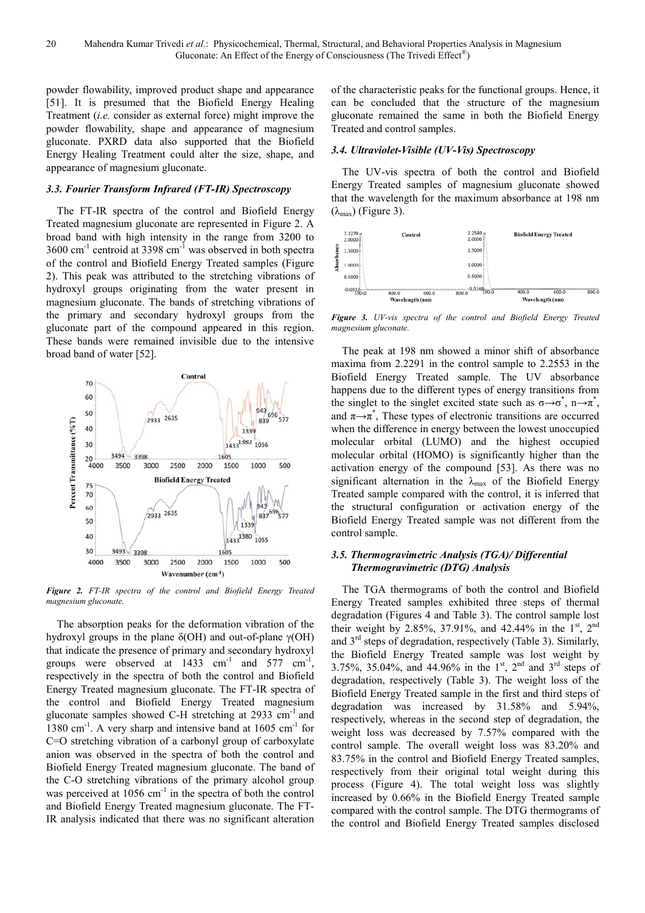powder flowability, improved product shape and appearance [51]. It is presumed that the Biofield Energy Healing Treatment (*i.e.* consider as external force) might improve the powder flowability, shape and appearance of magnesium gluconate. PXRD data also supported that the Biofield Energy Healing Treatment could alter the size, shape, and appearance of magnesium gluconate.

### *3.3. Fourier Transform Infrared (FT-IR) Spectroscopy*

The FT-IR spectra of the control and Biofield Energy Treated magnesium gluconate are represented in Figure 2. A broad band with high intensity in the range from 3200 to  $3600 \text{ cm}^{-1}$  centroid at 3398 cm<sup>-1</sup> was observed in both spectra of the control and Biofield Energy Treated samples (Figure 2). This peak was attributed to the stretching vibrations of hydroxyl groups originating from the water present in magnesium gluconate. The bands of stretching vibrations of the primary and secondary hydroxyl groups from the gluconate part of the compound appeared in this region. These bands were remained invisible due to the intensive broad band of water [52].



*Figure 2. FT-IR spectra of the control and Biofield Energy Treated magnesium gluconate.* 

The absorption peaks for the deformation vibration of the hydroxyl groups in the plane  $\delta$ (OH) and out-of-plane γ(OH) that indicate the presence of primary and secondary hydroxyl groups were observed at  $1433 \text{ cm}^{-1}$  and  $577 \text{ cm}^{-1}$ , respectively in the spectra of both the control and Biofield Energy Treated magnesium gluconate. The FT-IR spectra of the control and Biofield Energy Treated magnesium gluconate samples showed C-H stretching at  $2933 \text{ cm}^{-1}$  and 1380  $\text{cm}^{-1}$ . A very sharp and intensive band at 1605  $\text{cm}^{-1}$  for C=O stretching vibration of a carbonyl group of carboxylate anion was observed in the spectra of both the control and Biofield Energy Treated magnesium gluconate. The band of the C-O stretching vibrations of the primary alcohol group was perceived at  $1056 \text{ cm}^{-1}$  in the spectra of both the control and Biofield Energy Treated magnesium gluconate. The FT-IR analysis indicated that there was no significant alteration

of the characteristic peaks for the functional groups. Hence, it can be concluded that the structure of the magnesium gluconate remained the same in both the Biofield Energy Treated and control samples.

#### *3.4. Ultraviolet-Visible (UV-Vis) Spectroscopy*

The UV-vis spectra of both the control and Biofield Energy Treated samples of magnesium gluconate showed that the wavelength for the maximum absorbance at 198 nm  $(λ<sub>max</sub>)$  (Figure 3).



*Figure 3. UV-vis spectra of the control and Biofield Energy Treated magnesium gluconate.* 

The peak at 198 nm showed a minor shift of absorbance maxima from 2.2291 in the control sample to 2.2553 in the Biofield Energy Treated sample. The UV absorbance happens due to the different types of energy transitions from the singlet to the singlet excited state such as  $\sigma \rightarrow \sigma^*$ , n $\rightarrow \pi^*$ , and  $\pi \rightarrow \pi^*$ , These types of electronic transitions are occurred when the difference in energy between the lowest unoccupied molecular orbital (LUMO) and the highest occupied molecular orbital (HOMO) is significantly higher than the activation energy of the compound [53]. As there was no significant alternation in the  $\lambda_{\text{max}}$  of the Biofield Energy Treated sample compared with the control, it is inferred that the structural configuration or activation energy of the Biofield Energy Treated sample was not different from the control sample.

### *3.5. Thermogravimetric Analysis (TGA)/ Differential Thermogravimetric (DTG) Analysis*

The TGA thermograms of both the control and Biofield Energy Treated samples exhibited three steps of thermal degradation (Figures 4 and Table 3). The control sample lost their weight by 2.85%, 37.91%, and 42.44% in the  $1^{st}$ ,  $2^{nd}$ and 3rd steps of degradation, respectively (Table 3). Similarly, the Biofield Energy Treated sample was lost weight by 3.75%, 35.04%, and 44.96% in the 1<sup>st</sup>, 2<sup>nd</sup> and 3<sup>rd</sup> steps of degradation, respectively (Table 3). The weight loss of the Biofield Energy Treated sample in the first and third steps of degradation was increased by 31.58% and 5.94%, respectively, whereas in the second step of degradation, the weight loss was decreased by 7.57% compared with the control sample. The overall weight loss was 83.20% and 83.75% in the control and Biofield Energy Treated samples, respectively from their original total weight during this process (Figure 4). The total weight loss was slightly increased by 0.66% in the Biofield Energy Treated sample compared with the control sample. The DTG thermograms of the control and Biofield Energy Treated samples disclosed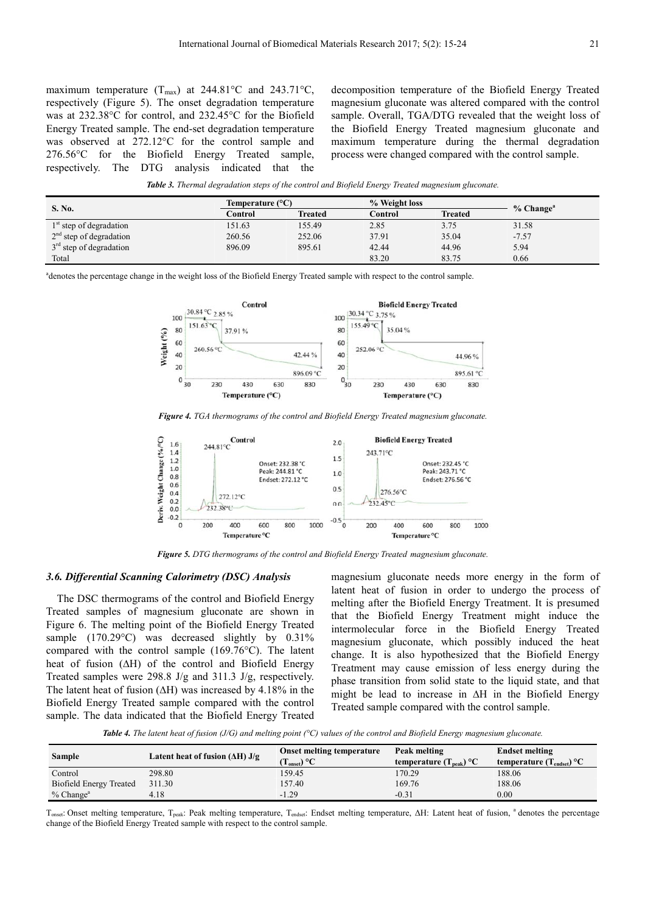maximum temperature  $(T_{\text{max}})$  at 244.81°C and 243.71°C, respectively (Figure 5). The onset degradation temperature was at 232.38°C for control, and 232.45°C for the Biofield Energy Treated sample. The end-set degradation temperature was observed at 272.12°C for the control sample and 276.56°C for the Biofield Energy Treated sample, respectively. The DTG analysis indicated that the decomposition temperature of the Biofield Energy Treated magnesium gluconate was altered compared with the control sample. Overall, TGA/DTG revealed that the weight loss of the Biofield Energy Treated magnesium gluconate and maximum temperature during the thermal degradation process were changed compared with the control sample.

*Table 3. Thermal degradation steps of the control and Biofield Energy Treated magnesium gluconate.* 

|                           | Temperature $(^{\circ}C)$ |         | % Weight loss |                |                       |  |
|---------------------------|---------------------------|---------|---------------|----------------|-----------------------|--|
| S. No.                    | Control                   | Treated | Control       | <b>Treated</b> | % Change <sup>a</sup> |  |
| $1st$ step of degradation | 151.63                    | 155.49  | 2.85          | 3.75           | 31.58                 |  |
| $2nd$ step of degradation | 260.56                    | 252.06  | 37.91         | 35.04          | $-7.57$               |  |
| $3rd$ step of degradation | 896.09                    | 895.61  | 42.44         | 44.96          | 5.94                  |  |
| Total                     |                           |         | 83.20         | 83.75          | 0.66                  |  |

<sup>a</sup>denotes the percentage change in the weight loss of the Biofield Energy Treated sample with respect to the control sample.



*Figure 4. TGA thermograms of the control and Biofield Energy Treated magnesium gluconate.* 



*Figure 5. DTG thermograms of the control and Biofield Energy Treated magnesium gluconate.* 

### *3.6. Differential Scanning Calorimetry (DSC) Analysis*

The DSC thermograms of the control and Biofield Energy Treated samples of magnesium gluconate are shown in Figure 6. The melting point of the Biofield Energy Treated sample (170.29°C) was decreased slightly by 0.31% compared with the control sample (169.76°C). The latent heat of fusion (∆H) of the control and Biofield Energy Treated samples were 298.8 J/g and 311.3 J/g, respectively. The latent heat of fusion (∆H) was increased by 4.18% in the Biofield Energy Treated sample compared with the control sample. The data indicated that the Biofield Energy Treated magnesium gluconate needs more energy in the form of latent heat of fusion in order to undergo the process of melting after the Biofield Energy Treatment. It is presumed that the Biofield Energy Treatment might induce the intermolecular force in the Biofield Energy Treated magnesium gluconate, which possibly induced the heat change. It is also hypothesized that the Biofield Energy Treatment may cause emission of less energy during the phase transition from solid state to the liquid state, and that might be lead to increase in ∆H in the Biofield Energy Treated sample compared with the control sample.

*Table 4. The latent heat of fusion (J/G) and melting point (°C) values of the control and Biofield Energy magnesium gluconate.* 

| <b>Sample</b>           | Latent heat of fusion ( $\Delta H$ ) J/g | <b>Onset melting temperature</b><br>$\Gamma_{\rm onset}$ ) °C | Peak melting<br>temperature $(T_{peak})$ °C | <b>Endset melting</b><br>temperature ( $T_{\text{endset}}$ ) °C |  |
|-------------------------|------------------------------------------|---------------------------------------------------------------|---------------------------------------------|-----------------------------------------------------------------|--|
| Control                 | 298.80                                   | 159.45                                                        | 170.29                                      | 188.06                                                          |  |
| Biofield Energy Treated | 311.30                                   | 157.40                                                        | 169.76                                      | 188.06                                                          |  |
| $%$ Change <sup>a</sup> | 4.18                                     | $-1.29$                                                       | $-0.31$                                     | 0.00                                                            |  |

T<sub>onset</sub>: Onset melting temperature, T<sub>peak</sub>: Peak melting temperature, T<sub>endset</sub>: Endset melting temperature, ∆H: Latent heat of fusion, <sup>a</sup> denotes the percentage change of the Biofield Energy Treated sample with respect to the control sample.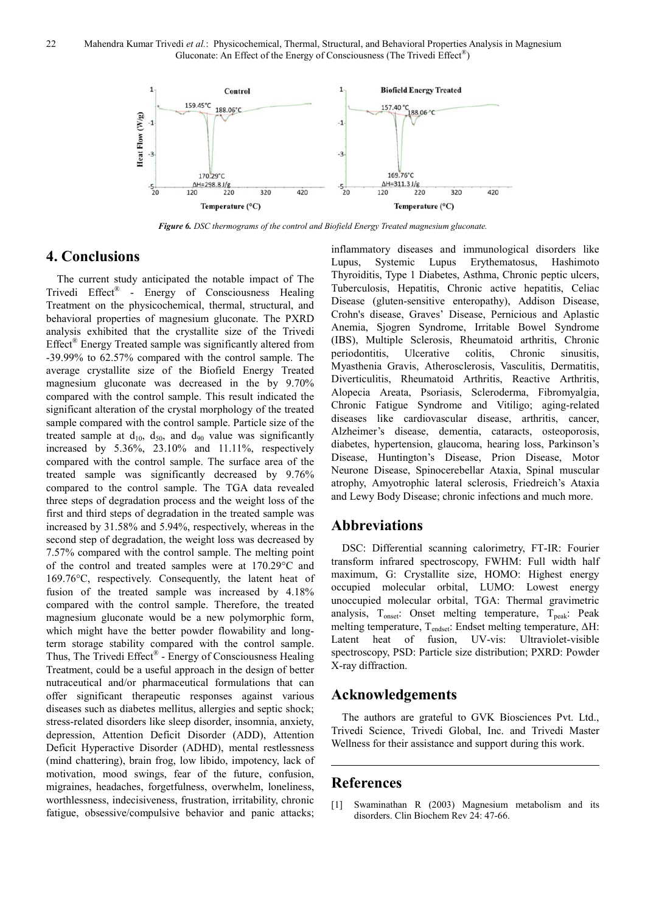

*Figure 6. DSC thermograms of the control and Biofield Energy Treated magnesium gluconate.* 

# **4. Conclusions**

The current study anticipated the notable impact of The Trivedi Effect® - Energy of Consciousness Healing Treatment on the physicochemical, thermal, structural, and behavioral properties of magnesium gluconate. The PXRD analysis exhibited that the crystallite size of the Trivedi Effect<sup>®</sup> Energy Treated sample was significantly altered from -39.99% to 62.57% compared with the control sample. The average crystallite size of the Biofield Energy Treated magnesium gluconate was decreased in the by 9.70% compared with the control sample. This result indicated the significant alteration of the crystal morphology of the treated sample compared with the control sample. Particle size of the treated sample at  $d_{10}$ ,  $d_{50}$ , and  $d_{90}$  value was significantly increased by 5.36%, 23.10% and 11.11%, respectively compared with the control sample. The surface area of the treated sample was significantly decreased by 9.76% compared to the control sample. The TGA data revealed three steps of degradation process and the weight loss of the first and third steps of degradation in the treated sample was increased by 31.58% and 5.94%, respectively, whereas in the second step of degradation, the weight loss was decreased by 7.57% compared with the control sample. The melting point of the control and treated samples were at 170.29°C and 169.76°C, respectively. Consequently, the latent heat of fusion of the treated sample was increased by  $4.18\%$ compared with the control sample. Therefore, the treated magnesium gluconate would be a new polymorphic form, which might have the better powder flowability and longterm storage stability compared with the control sample. Thus, The Trivedi Effect® - Energy of Consciousness Healing Treatment, could be a useful approach in the design of better nutraceutical and/or pharmaceutical formulations that can offer significant therapeutic responses against various diseases such as diabetes mellitus, allergies and septic shock; stress-related disorders like sleep disorder, insomnia, anxiety, depression, Attention Deficit Disorder (ADD), Attention Deficit Hyperactive Disorder (ADHD), mental restlessness (mind chattering), brain frog, low libido, impotency, lack of motivation, mood swings, fear of the future, confusion, migraines, headaches, forgetfulness, overwhelm, loneliness, worthlessness, indecisiveness, frustration, irritability, chronic fatigue, obsessive/compulsive behavior and panic attacks;

inflammatory diseases and immunological disorders like Lupus, Systemic Lupus Erythematosus, Hashimoto Thyroiditis, Type 1 Diabetes, Asthma, Chronic peptic ulcers, Tuberculosis, Hepatitis, Chronic active hepatitis, Celiac Disease (gluten-sensitive enteropathy), Addison Disease, Crohn's disease, Graves' Disease, Pernicious and Aplastic Anemia, Sjogren Syndrome, Irritable Bowel Syndrome (IBS), Multiple Sclerosis, Rheumatoid arthritis, Chronic periodontitis, Ulcerative colitis, Chronic sinusitis, Myasthenia Gravis, Atherosclerosis, Vasculitis, Dermatitis, Diverticulitis, Rheumatoid Arthritis, Reactive Arthritis, Alopecia Areata, Psoriasis, Scleroderma, Fibromyalgia, Chronic Fatigue Syndrome and Vitiligo; aging-related diseases like cardiovascular disease, arthritis, cancer, Alzheimer's disease, dementia, cataracts, osteoporosis, diabetes, hypertension, glaucoma, hearing loss, Parkinson's Disease, Huntington's Disease, Prion Disease, Motor Neurone Disease, Spinocerebellar Ataxia, Spinal muscular atrophy, Amyotrophic lateral sclerosis, Friedreich's Ataxia and Lewy Body Disease; chronic infections and much more.

### **Abbreviations**

DSC: Differential scanning calorimetry, FT-IR: Fourier transform infrared spectroscopy, FWHM: Full width half maximum, G: Crystallite size, HOMO: Highest energy occupied molecular orbital, LUMO: Lowest energy unoccupied molecular orbital, TGA: Thermal gravimetric analysis,  $T_{onset}$ : Onset melting temperature,  $T_{peak}$ : Peak melting temperature, T<sub>endset</sub>: Endset melting temperature, ∆H: Latent heat of fusion, UV-vis: Ultraviolet-visible spectroscopy, PSD: Particle size distribution; PXRD: Powder X-ray diffraction.

## **Acknowledgements**

The authors are grateful to GVK Biosciences Pvt. Ltd., Trivedi Science, Trivedi Global, Inc. and Trivedi Master Wellness for their assistance and support during this work.

# **References**

[1] Swaminathan R (2003) Magnesium metabolism and its disorders. Clin Biochem Rev 24: 47-66.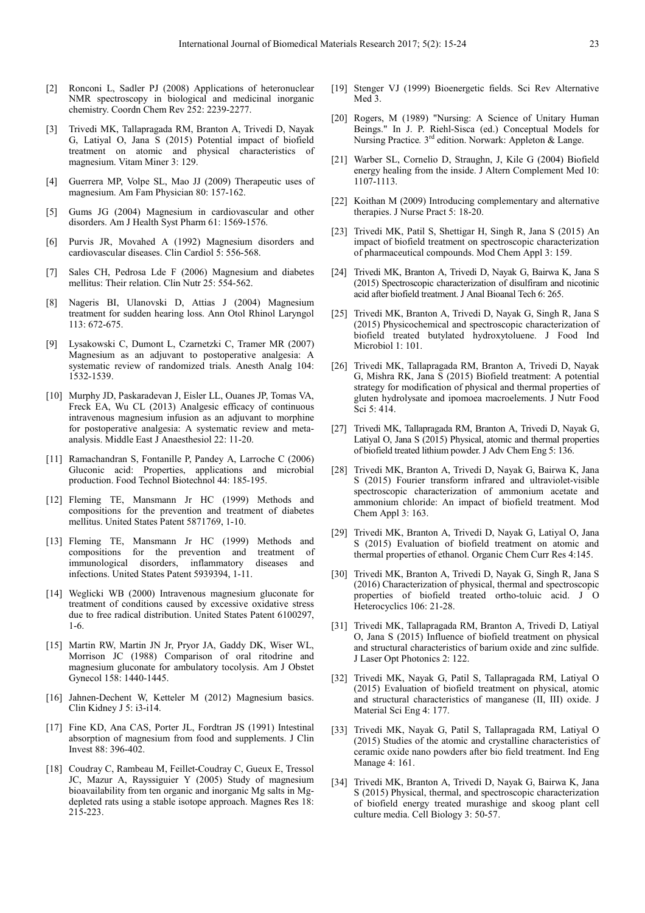- [2] Ronconi L, Sadler PJ (2008) Applications of heteronuclear NMR spectroscopy in biological and medicinal inorganic chemistry. Coordn Chem Rev 252: 2239-2277.
- [3] Trivedi MK, Tallapragada RM, Branton A, Trivedi D, Nayak G, Latiyal O, Jana S (2015) Potential impact of biofield treatment on atomic and physical characteristics of magnesium. Vitam Miner 3: 129.
- [4] Guerrera MP, Volpe SL, Mao JJ (2009) Therapeutic uses of magnesium. Am Fam Physician 80: 157-162.
- [5] Gums JG (2004) Magnesium in cardiovascular and other disorders. Am J Health Syst Pharm 61: 1569-1576.
- [6] Purvis JR, Movahed A (1992) Magnesium disorders and cardiovascular diseases. Clin Cardiol 5: 556-568.
- [7] Sales CH, Pedrosa Lde F (2006) Magnesium and diabetes mellitus: Their relation. Clin Nutr 25: 554-562.
- [8] Nageris BI, Ulanovski D, Attias J (2004) Magnesium treatment for sudden hearing loss. Ann Otol Rhinol Laryngol 113: 672-675.
- [9] Lysakowski C, Dumont L, Czarnetzki C, Tramer MR (2007) Magnesium as an adjuvant to postoperative analgesia: A systematic review of randomized trials. Anesth Analg 104: 1532-1539.
- [10] Murphy JD, Paskaradevan J, Eisler LL, Ouanes JP, Tomas VA, Freck EA, Wu CL (2013) Analgesic efficacy of continuous intravenous magnesium infusion as an adjuvant to morphine for postoperative analgesia: A systematic review and metaanalysis. Middle East J Anaesthesiol 22: 11-20.
- [11] Ramachandran S, Fontanille P, Pandey A, Larroche C (2006) Gluconic acid: Properties, applications and microbial production. Food Technol Biotechnol 44: 185-195.
- [12] Fleming TE, Mansmann Jr HC (1999) Methods and compositions for the prevention and treatment of diabetes mellitus. United States Patent 5871769, 1-10.
- [13] Fleming TE, Mansmann Jr HC (1999) Methods and compositions for the prevention and treatment of immunological disorders, inflammatory diseases and infections. United States Patent 5939394, 1-11.
- [14] Weglicki WB (2000) Intravenous magnesium gluconate for treatment of conditions caused by excessive oxidative stress due to free radical distribution. United States Patent 6100297, 1-6.
- [15] Martin RW, Martin JN Jr, Pryor JA, Gaddy DK, Wiser WL, Morrison JC (1988) Comparison of oral ritodrine and magnesium gluconate for ambulatory tocolysis. Am J Obstet Gynecol 158: 1440-1445.
- [16] Jahnen-Dechent W, Ketteler M (2012) Magnesium basics. Clin Kidney J 5: i3-i14.
- [17] Fine KD, Ana CAS, Porter JL, Fordtran JS (1991) Intestinal absorption of magnesium from food and supplements. J Clin Invest 88: 396-402.
- [18] Coudray C, Rambeau M, Feillet-Coudray C, Gueux E, Tressol JC, Mazur A, Rayssiguier Y (2005) Study of magnesium bioavailability from ten organic and inorganic Mg salts in Mgdepleted rats using a stable isotope approach. Magnes Res 18: 215-223.
- [19] Stenger VJ (1999) Bioenergetic fields. Sci Rev Alternative Med 3.
- [20] Rogers, M (1989) "Nursing: A Science of Unitary Human Beings." In J. P. Riehl-Sisca (ed.) Conceptual Models for Nursing Practice. 3<sup>rd</sup> edition. Norwark: Appleton & Lange.
- [21] Warber SL, Cornelio D, Straughn, J, Kile G (2004) Biofield energy healing from the inside. J Altern Complement Med 10: 1107-1113.
- [22] Koithan M (2009) Introducing complementary and alternative therapies. J Nurse Pract 5: 18-20.
- [23] Trivedi MK, Patil S, Shettigar H, Singh R, Jana S (2015) An impact of biofield treatment on spectroscopic characterization of pharmaceutical compounds. Mod Chem Appl 3: 159.
- [24] Trivedi MK, Branton A, Trivedi D, Nayak G, Bairwa K, Jana S (2015) Spectroscopic characterization of disulfiram and nicotinic acid after biofield treatment. J Anal Bioanal Tech 6: 265.
- [25] Trivedi MK, Branton A, Trivedi D, Nayak G, Singh R, Jana S (2015) Physicochemical and spectroscopic characterization of biofield treated butylated hydroxytoluene. J Food Ind Microbiol 1: 101.
- [26] Trivedi MK, Tallapragada RM, Branton A, Trivedi D, Nayak G, Mishra RK, Jana S (2015) Biofield treatment: A potential strategy for modification of physical and thermal properties of gluten hydrolysate and ipomoea macroelements. J Nutr Food Sci 5: 414.
- [27] Trivedi MK, Tallapragada RM, Branton A, Trivedi D, Nayak G, Latiyal O, Jana S (2015) Physical, atomic and thermal properties of biofield treated lithium powder. J Adv Chem Eng 5: 136.
- [28] Trivedi MK, Branton A, Trivedi D, Nayak G, Bairwa K, Jana S (2015) Fourier transform infrared and ultraviolet-visible spectroscopic characterization of ammonium acetate and ammonium chloride: An impact of biofield treatment. Mod Chem Appl 3: 163.
- [29] Trivedi MK, Branton A, Trivedi D, Nayak G, Latiyal O, Jana S (2015) Evaluation of biofield treatment on atomic and thermal properties of ethanol. Organic Chem Curr Res 4:145.
- [30] Trivedi MK, Branton A, Trivedi D, Nayak G, Singh R, Jana S (2016) Characterization of physical, thermal and spectroscopic properties of biofield treated ortho-toluic acid. J O Heterocyclics 106: 21-28.
- [31] Trivedi MK, Tallapragada RM, Branton A, Trivedi D, Latiyal O, Jana S (2015) Influence of biofield treatment on physical and structural characteristics of barium oxide and zinc sulfide. J Laser Opt Photonics 2: 122.
- [32] Trivedi MK, Nayak G, Patil S, Tallapragada RM, Latiyal O (2015) Evaluation of biofield treatment on physical, atomic and structural characteristics of manganese (II, III) oxide. J Material Sci Eng 4: 177.
- [33] Trivedi MK, Nayak G, Patil S, Tallapragada RM, Latiyal O (2015) Studies of the atomic and crystalline characteristics of ceramic oxide nano powders after bio field treatment. Ind Eng Manage 4: 161.
- [34] Trivedi MK, Branton A, Trivedi D, Nayak G, Bairwa K, Jana S (2015) Physical, thermal, and spectroscopic characterization of biofield energy treated murashige and skoog plant cell culture media. Cell Biology 3: 50-57.